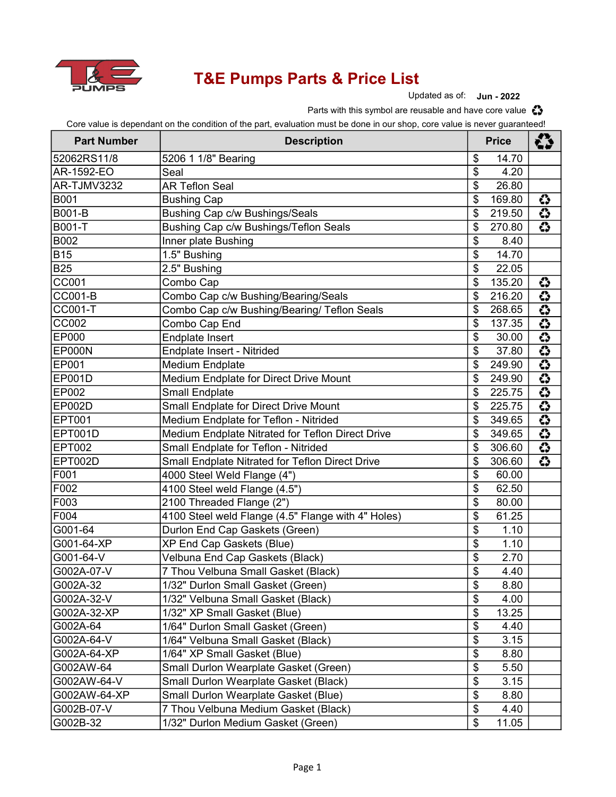

## T&E Pumps Parts & Price List

Updated as of: Jun - 2022

Parts with this symbol are reusable and have core value  $\clubsuit$ 

Core value is dependant on the condition of the part, evaluation must be done in our shop, core value is never guaranteed!

| <b>Part Number</b> | <b>Description</b>                                 | <b>Price</b>    |        | ረን                      |
|--------------------|----------------------------------------------------|-----------------|--------|-------------------------|
| 52062RS11/8        | 5206 1 1/8" Bearing                                | \$              | 14.70  |                         |
| AR-1592-EO         | Seal                                               | \$              | 4.20   |                         |
| AR-TJMV3232        | <b>AR Teflon Seal</b>                              | \$              | 26.80  |                         |
| B001               | <b>Bushing Cap</b>                                 | \$              | 169.80 | ↔                       |
| B001-B             | Bushing Cap c/w Bushings/Seals                     | \$              | 219.50 | $\overline{3}$          |
| B001-T             | Bushing Cap c/w Bushings/Teflon Seals              | \$              | 270.80 | $\overline{3}$          |
| B002               | Inner plate Bushing                                | \$              | 8.40   |                         |
| <b>B15</b>         | 1.5" Bushing                                       | \$              | 14.70  |                         |
| <b>B25</b>         | 2.5" Bushing                                       | \$              | 22.05  |                         |
| CC001              | Combo Cap                                          | \$              | 135.20 | €                       |
| <b>CC001-B</b>     | Combo Cap c/w Bushing/Bearing/Seals                | \$              | 216.20 | $\overline{O}$          |
| <b>CC001-T</b>     | Combo Cap c/w Bushing/Bearing/ Teflon Seals        | \$              | 268.65 | $\overline{\mathbf{O}}$ |
| <b>CC002</b>       | Combo Cap End                                      | \$              | 137.35 | $\overline{3}$          |
| EP000              | <b>Endplate Insert</b>                             | \$              | 30.00  | $\overline{c}$          |
| EP000N             | Endplate Insert - Nitrided                         | \$              | 37.80  | $\overline{O}$          |
| EP001              | Medium Endplate                                    | \$              | 249.90 | $\overline{3}$          |
| EP001D             | Medium Endplate for Direct Drive Mount             | \$              | 249.90 |                         |
| EP002              | <b>Small Endplate</b>                              | \$              | 225.75 | $\frac{3}{3}$           |
| EP002D             | Small Endplate for Direct Drive Mount              | \$              | 225.75 | ♦                       |
| <b>EPT001</b>      | Medium Endplate for Teflon - Nitrided              | \$              | 349.65 | $\overline{3}$          |
| <b>EPT001D</b>     | Medium Endplate Nitrated for Teflon Direct Drive   | \$              | 349.65 | ♦                       |
| <b>EPT002</b>      | Small Endplate for Teflon - Nitrided               | \$              | 306.60 | $\overline{3}$          |
| <b>EPT002D</b>     | Small Endplate Nitrated for Teflon Direct Drive    | \$              | 306.60 | $\overline{3}$          |
| F001               | 4000 Steel Weld Flange (4")                        | \$              | 60.00  |                         |
| F002               | 4100 Steel weld Flange (4.5")                      | \$              | 62.50  |                         |
| F003               | 2100 Threaded Flange (2")                          | \$              | 80.00  |                         |
| F004               | 4100 Steel weld Flange (4.5" Flange with 4" Holes) | \$              | 61.25  |                         |
| G001-64            | Durlon End Cap Gaskets (Green)                     | $\overline{\$}$ | 1.10   |                         |
| G001-64-XP         | XP End Cap Gaskets (Blue)                          | \$              | 1.10   |                         |
| G001-64-V          | Velbuna End Cap Gaskets (Black)                    | \$              | 2.70   |                         |
| G002A-07-V         | 7 Thou Velbuna Small Gasket (Black)                | \$              | 4.40   |                         |
| G002A-32           | 1/32" Durlon Small Gasket (Green)                  | \$              | 8.80   |                         |
| G002A-32-V         | 1/32" Velbuna Small Gasket (Black)                 | \$              | 4.00   |                         |
| G002A-32-XP        | 1/32" XP Small Gasket (Blue)                       | \$              | 13.25  |                         |
| G002A-64           | 1/64" Durlon Small Gasket (Green)                  | $\frac{1}{2}$   | 4.40   |                         |
| G002A-64-V         | 1/64" Velbuna Small Gasket (Black)                 | \$              | 3.15   |                         |
| G002A-64-XP        | 1/64" XP Small Gasket (Blue)                       | \$              | 8.80   |                         |
| G002AW-64          | Small Durlon Wearplate Gasket (Green)              | \$              | 5.50   |                         |
| G002AW-64-V        | Small Durlon Wearplate Gasket (Black)              | \$              | 3.15   |                         |
| G002AW-64-XP       | Small Durlon Wearplate Gasket (Blue)               | \$              | 8.80   |                         |
| G002B-07-V         | 7 Thou Velbuna Medium Gasket (Black)               | \$              | 4.40   |                         |
| G002B-32           | 1/32" Durlon Medium Gasket (Green)                 | \$              | 11.05  |                         |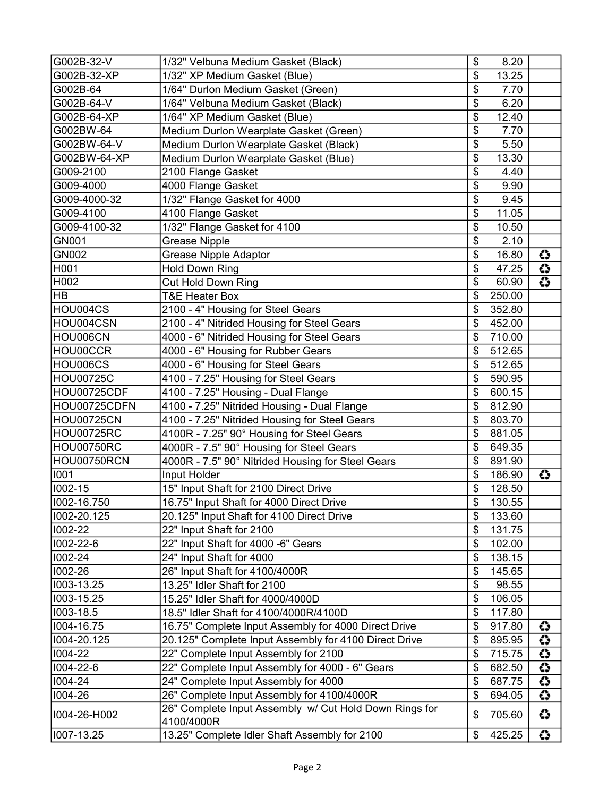| G002B-32-V         | 1/32" Velbuna Medium Gasket (Black)                                  | \$            | 8.20   |                 |
|--------------------|----------------------------------------------------------------------|---------------|--------|-----------------|
| G002B-32-XP        | 1/32" XP Medium Gasket (Blue)                                        | \$            | 13.25  |                 |
| G002B-64           | 1/64" Durlon Medium Gasket (Green)                                   | \$            | 7.70   |                 |
| G002B-64-V         | 1/64" Velbuna Medium Gasket (Black)                                  | \$            | 6.20   |                 |
| G002B-64-XP        | 1/64" XP Medium Gasket (Blue)                                        | \$            | 12.40  |                 |
| G002BW-64          | Medium Durlon Wearplate Gasket (Green)                               | \$            | 7.70   |                 |
| G002BW-64-V        | Medium Durlon Wearplate Gasket (Black)                               | \$            | 5.50   |                 |
| G002BW-64-XP       | Medium Durlon Wearplate Gasket (Blue)                                | \$            | 13.30  |                 |
| G009-2100          | 2100 Flange Gasket                                                   | \$            | 4.40   |                 |
| G009-4000          | 4000 Flange Gasket                                                   | \$            | 9.90   |                 |
| G009-4000-32       | 1/32" Flange Gasket for 4000                                         | \$            | 9.45   |                 |
| G009-4100          | 4100 Flange Gasket                                                   | \$            | 11.05  |                 |
| G009-4100-32       | 1/32" Flange Gasket for 4100                                         | \$            | 10.50  |                 |
| GN001              | <b>Grease Nipple</b>                                                 | \$            | 2.10   |                 |
| GN002              | <b>Grease Nipple Adaptor</b>                                         | \$            | 16.80  | ↔               |
| H001               | <b>Hold Down Ring</b>                                                | \$            | 47.25  | ं               |
| H002               | Cut Hold Down Ring                                                   | \$            | 60.90  | $\overline{O}$  |
| <b>HB</b>          | <b>T&amp;E Heater Box</b>                                            | \$            | 250.00 |                 |
| HOU004CS           | 2100 - 4" Housing for Steel Gears                                    | \$            | 352.80 |                 |
| HOU004CSN          | 2100 - 4" Nitrided Housing for Steel Gears                           | \$            | 452.00 |                 |
| HOU006CN           | 4000 - 6" Nitrided Housing for Steel Gears                           | \$            | 710.00 |                 |
| HOU00CCR           | 4000 - 6" Housing for Rubber Gears                                   | \$            | 512.65 |                 |
| HOU006CS           | 4000 - 6" Housing for Steel Gears                                    | \$            | 512.65 |                 |
| <b>HOU00725C</b>   | 4100 - 7.25" Housing for Steel Gears                                 | \$            | 590.95 |                 |
| <b>HOU00725CDF</b> | 4100 - 7.25" Housing - Dual Flange                                   | \$            | 600.15 |                 |
| HOU00725CDFN       | 4100 - 7.25" Nitrided Housing - Dual Flange                          | \$            | 812.90 |                 |
| <b>HOU00725CN</b>  | 4100 - 7.25" Nitrided Housing for Steel Gears                        | \$            | 803.70 |                 |
| <b>HOU00725RC</b>  | 4100R - 7.25" 90° Housing for Steel Gears                            | \$            | 881.05 |                 |
| <b>HOU00750RC</b>  | 4000R - 7.5" 90° Housing for Steel Gears                             | \$            | 649.35 |                 |
| HOU00750RCN        | 4000R - 7.5" 90° Nitrided Housing for Steel Gears                    | \$            | 891.90 |                 |
| 1001               | Input Holder                                                         | \$            | 186.90 | ↔               |
| 1002-15            | 15" Input Shaft for 2100 Direct Drive                                | \$            | 128.50 |                 |
| 1002-16.750        | 16.75" Input Shaft for 4000 Direct Drive                             | \$            | 130.55 |                 |
| 1002-20.125        | 20.125" Input Shaft for 4100 Direct Drive                            | \$            | 133.60 |                 |
| 1002-22            | 22" Input Shaft for 2100                                             | \$            | 131.75 |                 |
| 1002-22-6          | 22" Input Shaft for 4000 -6" Gears                                   | \$            | 102.00 |                 |
| 1002-24            | 24" Input Shaft for 4000                                             | \$            | 138.15 |                 |
| 1002-26            | 26" Input Shaft for 4100/4000R                                       | \$            | 145.65 |                 |
| 1003-13.25         | 13.25" Idler Shaft for 2100                                          | \$            | 98.55  |                 |
| 1003-15.25         | 15.25" Idler Shaft for 4000/4000D                                    | \$            | 106.05 |                 |
| 1003-18.5          | 18.5" Idler Shaft for 4100/4000R/4100D                               | \$            | 117.80 |                 |
| 1004-16.75         | 16.75" Complete Input Assembly for 4000 Direct Drive                 | \$            | 917.80 | ۞               |
| 1004-20.125        | 20.125" Complete Input Assembly for 4100 Direct Drive                | \$            | 895.95 | ं               |
| 1004-22            | 22" Complete Input Assembly for 2100                                 | \$            | 715.75 | $\ddot{\bm{c}}$ |
| 1004-22-6          | 22" Complete Input Assembly for 4000 - 6" Gears                      | \$            | 682.50 | €               |
| 1004-24            | 24" Complete Input Assembly for 4000                                 | $\frac{1}{2}$ | 687.75 | $\overline{3}$  |
| 1004-26            | 26" Complete Input Assembly for 4100/4000R                           | \$            | 694.05 | ↔               |
| I004-26-H002       | 26" Complete Input Assembly w/ Cut Hold Down Rings for<br>4100/4000R | \$            | 705.60 | ۞               |
| 1007-13.25         | 13.25" Complete Idler Shaft Assembly for 2100                        | \$            | 425.25 | ↔               |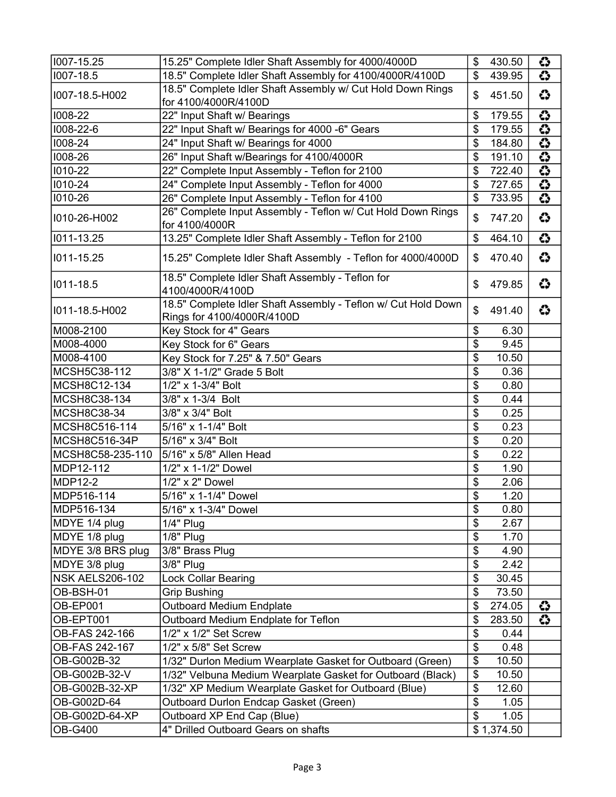| 1007-15.25             | 15.25" Complete Idler Shaft Assembly for 4000/4000D                                         | \$            | 430.50     | ↔              |
|------------------------|---------------------------------------------------------------------------------------------|---------------|------------|----------------|
| 1007-18.5              | 18.5" Complete Idler Shaft Assembly for 4100/4000R/4100D                                    | \$            | 439.95     | ۞              |
| I007-18.5-H002         | 18.5" Complete Idler Shaft Assembly w/ Cut Hold Down Rings<br>for 4100/4000R/4100D          | \$            | 451.50     | ↔              |
| 1008-22                | 22" Input Shaft w/ Bearings                                                                 | \$            | 179.55     | €              |
| 1008-22-6              | 22" Input Shaft w/ Bearings for 4000 -6" Gears                                              | \$            | 179.55     | $\overline{3}$ |
| 1008-24                | 24" Input Shaft w/ Bearings for 4000                                                        | \$            | 184.80     | $\overline{3}$ |
| 1008-26                | 26" Input Shaft w/Bearings for 4100/4000R                                                   | \$            | 191.10     | $\overline{3}$ |
| 1010-22                | 22" Complete Input Assembly - Teflon for 2100                                               | \$            | 722.40     | $\overline{3}$ |
| 1010-24                | 24" Complete Input Assembly - Teflon for 4000                                               | \$            | 727.65     | ۞              |
| 1010-26                | 26" Complete Input Assembly - Teflon for 4100                                               | \$            | 733.95     | $\overline{3}$ |
| I010-26-H002           | 26" Complete Input Assembly - Teflon w/ Cut Hold Down Rings<br>for 4100/4000R               | \$            | 747.20     | ↔              |
| 1011-13.25             | 13.25" Complete Idler Shaft Assembly - Teflon for 2100                                      | \$            | 464.10     | ं              |
| 1011-15.25             | 15.25" Complete Idler Shaft Assembly - Teflon for 4000/4000D                                | \$            | 470.40     | ↔              |
| 1011-18.5              | 18.5" Complete Idler Shaft Assembly - Teflon for<br>4100/4000R/4100D                        | \$            | 479.85     | ۞              |
| I011-18.5-H002         | 18.5" Complete Idler Shaft Assembly - Teflon w/ Cut Hold Down<br>Rings for 4100/4000R/4100D | \$            | 491.40     | ۞              |
| M008-2100              | Key Stock for 4" Gears                                                                      | $\frac{1}{2}$ | 6.30       |                |
| M008-4000              | Key Stock for 6" Gears                                                                      | \$            | 9.45       |                |
| M008-4100              | Key Stock for 7.25" & 7.50" Gears                                                           | $\frac{1}{2}$ | 10.50      |                |
| MCSH5C38-112           | 3/8" X 1-1/2" Grade 5 Bolt                                                                  | \$            | 0.36       |                |
| MCSH8C12-134           | 1/2" x 1-3/4" Bolt                                                                          | \$            | 0.80       |                |
| MCSH8C38-134           | 3/8" x 1-3/4 Bolt                                                                           | \$            | 0.44       |                |
| MCSH8C38-34            | 3/8" x 3/4" Bolt                                                                            | $\frac{1}{2}$ | 0.25       |                |
| MCSH8C516-114          | 5/16" x 1-1/4" Bolt                                                                         | \$            | 0.23       |                |
| MCSH8C516-34P          | 5/16" x 3/4" Bolt                                                                           | \$            | 0.20       |                |
| MCSH8C58-235-110       | 5/16" x 5/8" Allen Head                                                                     | \$            | 0.22       |                |
| MDP12-112              | 1/2" x 1-1/2" Dowel                                                                         | $\frac{1}{2}$ | 1.90       |                |
| <b>MDP12-2</b>         | 1/2" x 2" Dowel                                                                             | \$            | 2.06       |                |
| MDP516-114             | 5/16" x 1-1/4" Dowel                                                                        | \$            | 1.20       |                |
| MDP516-134             | 5/16" x 1-3/4" Dowel                                                                        | \$            | 0.80       |                |
| MDYE 1/4 plug          | $1/4"$ Plug                                                                                 | \$            | 2.67       |                |
| MDYE 1/8 plug          | $1/8"$ Plug                                                                                 | \$            | 1.70       |                |
| MDYE 3/8 BRS plug      | 3/8" Brass Plug                                                                             | \$            | 4.90       |                |
| MDYE 3/8 plug          | 3/8" Plug                                                                                   | $\frac{1}{2}$ | 2.42       |                |
| <b>NSK AELS206-102</b> | <b>Lock Collar Bearing</b>                                                                  | $\frac{1}{2}$ | 30.45      |                |
| OB-BSH-01              | <b>Grip Bushing</b>                                                                         | \$            | 73.50      |                |
| OB-EP001               | <b>Outboard Medium Endplate</b>                                                             | \$            | 274.05     | ↔              |
| OB-EPT001              | Outboard Medium Endplate for Teflon                                                         | $\frac{1}{2}$ | 283.50     | ۞              |
| OB-FAS 242-166         | 1/2" x 1/2" Set Screw                                                                       | \$            | 0.44       |                |
| OB-FAS 242-167         | 1/2" x 5/8" Set Screw                                                                       | $\frac{1}{2}$ | 0.48       |                |
| OB-G002B-32            | 1/32" Durlon Medium Wearplate Gasket for Outboard (Green)                                   | $\frac{1}{2}$ | 10.50      |                |
| OB-G002B-32-V          | 1/32" Velbuna Medium Wearplate Gasket for Outboard (Black)                                  | \$            | 10.50      |                |
| OB-G002B-32-XP         | 1/32" XP Medium Wearplate Gasket for Outboard (Blue)                                        | \$            | 12.60      |                |
| OB-G002D-64            | Outboard Durlon Endcap Gasket (Green)                                                       | $\frac{1}{2}$ | 1.05       |                |
| OB-G002D-64-XP         | Outboard XP End Cap (Blue)                                                                  | \$            | 1.05       |                |
| OB-G400                | 4" Drilled Outboard Gears on shafts                                                         |               | \$1,374.50 |                |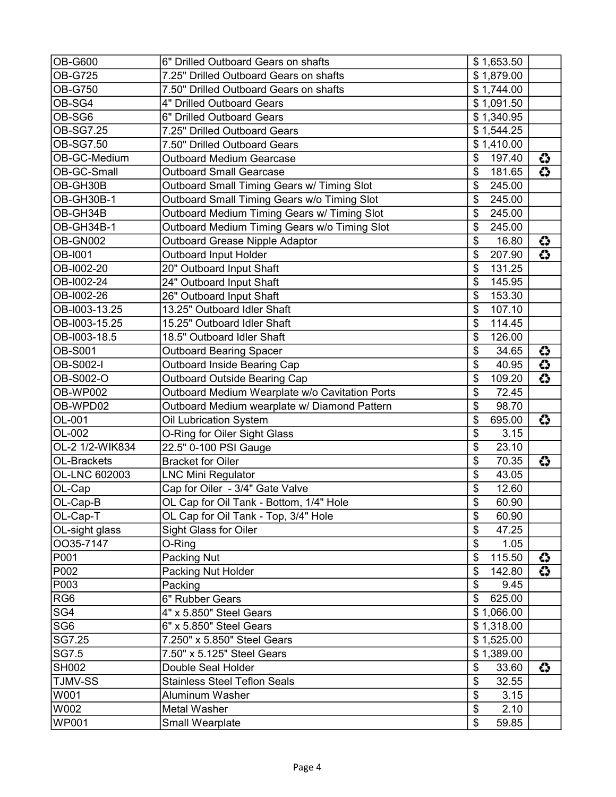| <b>OB-G600</b>  | 6" Drilled Outboard Gears on shafts            | \$1,653.50              |                |
|-----------------|------------------------------------------------|-------------------------|----------------|
| <b>OB-G725</b>  | 7.25" Drilled Outboard Gears on shafts         | \$1,879.00              |                |
| <b>OB-G750</b>  | 7.50" Drilled Outboard Gears on shafts         | \$1,744.00              |                |
| OB-SG4          | 4" Drilled Outboard Gears                      | \$1,091.50              |                |
| OB-SG6          | 6" Drilled Outboard Gears                      | \$1,340.95              |                |
| OB-SG7.25       | 7.25" Drilled Outboard Gears                   | \$1,544.25              |                |
| OB-SG7.50       | 7.50" Drilled Outboard Gears                   | \$1,410.00              |                |
| OB-GC-Medium    | <b>Outboard Medium Gearcase</b>                | \$<br>197.40            | ↔              |
| OB-GC-Small     | <b>Outboard Small Gearcase</b>                 | 181.65<br>\$            | $\overline{3}$ |
| OB-GH30B        | Outboard Small Timing Gears w/ Timing Slot     | \$<br>245.00            |                |
| OB-GH30B-1      | Outboard Small Timing Gears w/o Timing Slot    | \$<br>245.00            |                |
| OB-GH34B        | Outboard Medium Timing Gears w/ Timing Slot    | \$<br>245.00            |                |
| OB-GH34B-1      | Outboard Medium Timing Gears w/o Timing Slot   | $\frac{1}{2}$<br>245.00 |                |
| OB-GN002        | <b>Outboard Grease Nipple Adaptor</b>          | \$<br>16.80             | ↔              |
| <b>OB-1001</b>  | <b>Outboard Input Holder</b>                   | \$<br>207.90            | $\overline{3}$ |
| OB-I002-20      | 20" Outboard Input Shaft                       | \$<br>131.25            |                |
| OB-I002-24      | 24" Outboard Input Shaft                       | \$<br>145.95            |                |
| OB-I002-26      | 26" Outboard Input Shaft                       | \$<br>153.30            |                |
| OB-I003-13.25   | 13.25" Outboard Idler Shaft                    | \$<br>107.10            |                |
| OB-I003-15.25   | 15.25" Outboard Idler Shaft                    | \$<br>114.45            |                |
| OB-I003-18.5    | 18.5" Outboard Idler Shaft                     | \$<br>126.00            |                |
| <b>OB-S001</b>  | <b>Outboard Bearing Spacer</b>                 | \$<br>34.65             | ↔              |
| OB-S002-I       | Outboard Inside Bearing Cap                    | \$<br>40.95             | ۞              |
| OB-S002-O       | <b>Outboard Outside Bearing Cap</b>            | \$<br>109.20            | $\overline{3}$ |
| OB-WP002        | Outboard Medium Wearplate w/o Cavitation Ports | \$<br>72.45             |                |
| OB-WPD02        | Outboard Medium wearplate w/ Diamond Pattern   | \$<br>98.70             |                |
| OL-001          | Oil Lubrication System                         | \$<br>695.00            | ↔              |
| OL-002          | O-Ring for Oiler Sight Glass                   | \$<br>3.15              |                |
| OL-2 1/2-WIK834 | 22.5" 0-100 PSI Gauge                          | \$<br>23.10             |                |
| OL-Brackets     | <b>Bracket for Oiler</b>                       | \$<br>70.35             | ↔              |
| OL-LNC 602003   | <b>LNC Mini Regulator</b>                      | \$<br>43.05             |                |
| OL-Cap          | Cap for Oiler - 3/4" Gate Valve                | \$<br>12.60             |                |
| OL-Cap-B        | OL Cap for Oil Tank - Bottom, 1/4" Hole        | \$<br>60.90             |                |
| OL-Cap-T        | OL Cap for Oil Tank - Top, 3/4" Hole           | \$<br>60.90             |                |
| OL-sight glass  | Sight Glass for Oiler                          | \$<br>47.25             |                |
| OO35-7147       | O-Ring                                         | \$<br>1.05              |                |
| P001            | Packing Nut                                    | \$<br>115.50            | €              |
| P002            | Packing Nut Holder                             | $\frac{1}{2}$<br>142.80 | ۞              |
| P003            | Packing                                        | \$<br>9.45              |                |
| RG <sub>6</sub> | 6" Rubber Gears                                | 625.00<br>\$            |                |
| SG4             | 4" x 5.850" Steel Gears                        | \$1,066.00              |                |
| SG <sub>6</sub> | 6" x 5.850" Steel Gears                        | \$1,318.00              |                |
| SG7.25          | 7.250" x 5.850" Steel Gears                    | \$1,525.00              |                |
| SG7.5           | 7.50" x 5.125" Steel Gears                     | \$1,389.00              |                |
| <b>SH002</b>    | Double Seal Holder                             | 33.60<br>\$             | ↔              |
| <b>TJMV-SS</b>  | <b>Stainless Steel Teflon Seals</b>            | \$<br>32.55             |                |
| W001            | Aluminum Washer                                | \$<br>3.15              |                |
| W002            | Metal Washer                                   | $\frac{1}{2}$<br>2.10   |                |
| <b>WP001</b>    | Small Wearplate                                | $\frac{1}{2}$<br>59.85  |                |